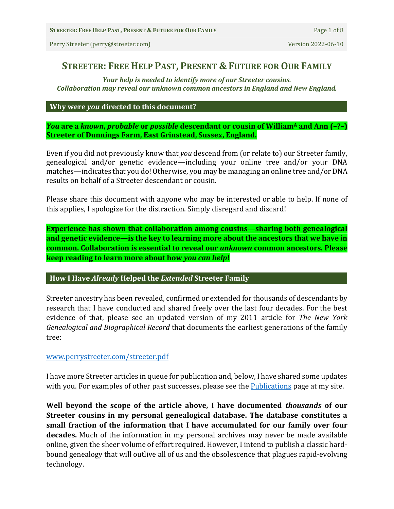# **STREETER: FREE HELP PAST, PRESENT & FUTURE FOR OUR FAMILY**

*Your help is needed to identify more of our Streeter cousins. Collaboration may reveal our unknown common ancestors in England and New England.*

### **Why were** *you* **directed to this document?**

*You* **are a** *known***,** *probable* **or** *possible* **descendant or cousin of William<sup>A</sup> and Ann (–?–) Streeter of Dunnings Farm, East Grinstead, Sussex, England.**

Even if you did not previously know that *you* descend from (or relate to) our Streeter family, genealogical and/or genetic evidence—including your online tree and/or your DNA matches—indicates that you do! Otherwise, you may be managing an online tree and/or DNA results on behalf of a Streeter descendant or cousin.

Please share this document with anyone who may be interested or able to help. If none of this applies, I apologize for the distraction. Simply disregard and discard!

**Experience has shown that collaboration among cousins—sharing both genealogical and genetic evidence—is the key to learning more about the ancestors that we have in common. Collaboration is essential to reveal our** *unknown* **common ancestors. Please keep reading to learn more about how** *you can help***!**

### **How I Have** *Already* **Helped the** *Extended* **Streeter Family**

Streeter ancestry has been revealed, confirmed or extended for thousands of descendants by research that I have conducted and shared freely over the last four decades. For the best evidence of that, please see an updated version of my 2011 article for *The New York Genealogical and Biographical Record* that documents the earliest generations of the family tree:

### [www.perrystreeter.com/streeter.pdf](http://www.perrystreeter.com/streeter.pdf)

I have more Streeter articles in queue for publication and, below, I have shared some updates with you. For examples of other past successes, please see the **Publications** page at my site.

**Well beyond the scope of the article above, I have documented** *thousands* **of our Streeter cousins in my personal genealogical database. The database constitutes a small fraction of the information that I have accumulated for our family over four decades.** Much of the information in my personal archives may never be made available online, given the sheer volume of effort required. However, I intend to publish a classic hardbound genealogy that will outlive all of us and the obsolescence that plagues rapid-evolving technology.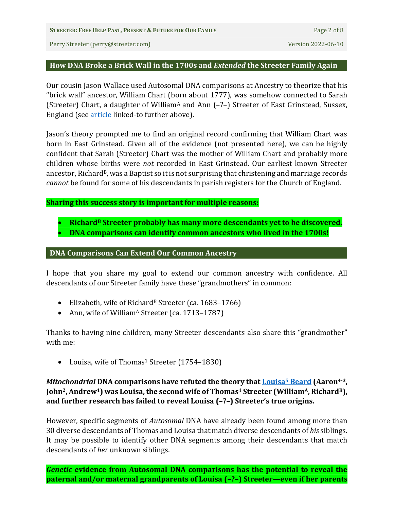**STREETER: FREE HELP PAST, PRESENT & FUTURE FOR OUR FAMILY** Page 2 of 8

Perry Streeter (perry@streeter.com) Version 2022-06-10

**How DNA Broke a Brick Wall in the 1700s and** *Extended* **the Streeter Family Again**

Our cousin Jason Wallace used Autosomal DNA comparisons at Ancestry to theorize that his "brick wall" ancestor, William Chart (born about 1777), was somehow connected to Sarah (Streeter) Chart, a daughter of William<sup>A</sup> and Ann (–?–) Streeter of East Grinstead, Sussex, England (se[e article](http://www.perrystreeter.com/streeter.pdf) linked-to further above).

Jason's theory prompted me to find an original record confirming that William Chart was born in East Grinstead. Given all of the evidence (not presented here), we can be highly confident that Sarah (Streeter) Chart was the mother of William Chart and probably more children whose births were *not* recorded in East Grinstead. Our earliest known Streeter ancestor, Richard<sup>B</sup>, was a Baptist so it is not surprising that christening and marriage records *cannot* be found for some of his descendants in parish registers for the Church of England.

**Sharing this success story is important for multiple reasons:**

• **Richard<sup>B</sup> Streeter probably has many more descendants yet to be discovered.** • **DNA comparisons can identify common ancestors who lived in the 1700s!**

## **DNA Comparisons Can Extend Our Common Ancestry**

I hope that you share my goal to extend our common ancestry with confidence. All descendants of our Streeter family have these "grandmothers" in common:

- Elizabeth, wife of Richard<sup>B</sup> Streeter (ca.  $1683-1766$ )
- Ann, wife of William<sup>A</sup> Streeter (ca. 1713–1787)

Thanks to having nine children, many Streeter descendants also share this "grandmother" with me:

• Louisa, wife of Thomas<sup>1</sup> Streeter (1754–1830)

# *Mitochondrial* **DNA comparisons have refuted the theory that [Louisa](http://www.perrystreeter.com/beard.pdf)<sup>5</sup> Beard (Aaron4-3, John2, Andrew1) was Louisa, the second wife of Thomas<sup>1</sup> Streeter (WilliamA, RichardB), and further research has failed to reveal Louisa (–?–) Streeter's true origins.**

However, specific segments of *Autosomal* DNA have already been found among more than 30 diverse descendants of Thomas and Louisa that match diverse descendants of *his* siblings. It may be possible to identify other DNA segments among their descendants that match descendants of *her* unknown siblings.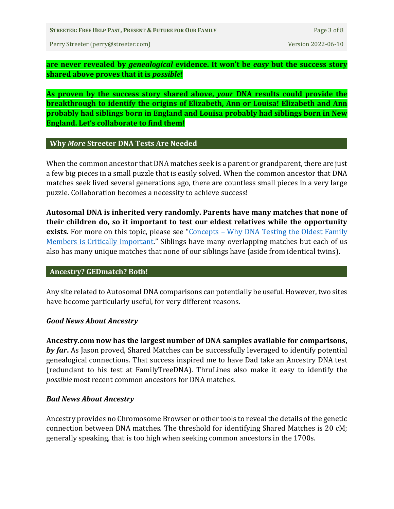**STREETER: FREE HELP PAST, PRESENT & FUTURE FOR OUR FAMILY** Page 3 of 8

Perry Streeter (perry@streeter.com) Version 2022-06-10

**are never revealed by** *genealogical* **evidence. It won't be** *easy* **but the success story shared above proves that it is** *possible***!**

**As proven by the success story shared above,** *your* **DNA results could provide the breakthrough to identify the origins of Elizabeth, Ann or Louisa! Elizabeth and Ann probably had siblings born in England and Louisa probably had siblings born in New England. Let's collaborate to find them!**

### **Why** *More* **Streeter DNA Tests Are Needed**

When the common ancestor that DNA matches seek is a parent or grandparent, there are just a few big pieces in a small puzzle that is easily solved. When the common ancestor that DNA matches seek lived several generations ago, there are countless small pieces in a very large puzzle. Collaboration becomes a necessity to achieve success!

**Autosomal DNA is inherited very randomly. Parents have many matches that none of their children do, so it important to test our eldest relatives while the opportunity exists.** For more on this topic, please see "Concepts – Why DNA Testing the Oldest Family [Members is Critically Important](https://dna-explained.com/2016/10/19/concepts-why-dna-testing-the-oldest-family-members-is-critically-important/)." Siblings have many overlapping matches but each of us also has many unique matches that none of our siblings have (aside from identical twins).

### **Ancestry? GEDmatch? Both!**

Any site related to Autosomal DNA comparisons can potentially be useful. However, two sites have become particularly useful, for very different reasons.

### *Good News About Ancestry*

**Ancestry.com now has the largest number of DNA samples available for comparisons,**  *by far***.** As Jason proved, Shared Matches can be successfully leveraged to identify potential genealogical connections. That success inspired me to have Dad take an Ancestry DNA test (redundant to his test at FamilyTreeDNA). ThruLines also make it easy to identify the *possible* most recent common ancestors for DNA matches.

### *Bad News About Ancestry*

Ancestry provides no Chromosome Browser or other tools to reveal the details of the genetic connection between DNA matches. The threshold for identifying Shared Matches is 20 cM; generally speaking, that is too high when seeking common ancestors in the 1700s.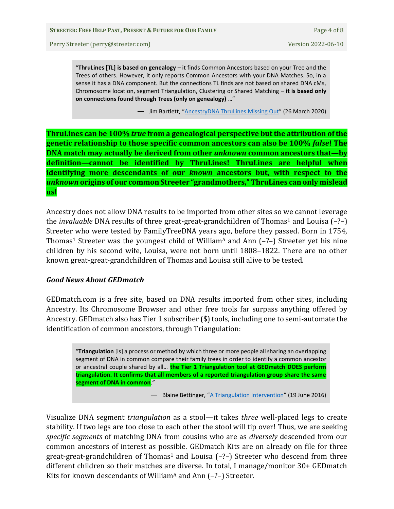Perry Streeter (perry@streeter.com) Version 2022-06-10

"**ThruLines [TL] is based on genealogy** – it finds Common Ancestors based on your Tree and the Trees of others. However, it only reports Common Ancestors with your DNA Matches. So, in a sense it has a DNA component. But the connections TL finds are not based on shared DNA cMs, Chromosome location, segment Triangulation, Clustering or Shared Matching – **it is based only on connections found through Trees (only on genealogy)** …"

- Jim Bartlett, "[AncestryDNA ThruLines Missing Out](https://segmentology.org/2020/03/26/ancestrydna-thrulines-missing-out/)" (26 March 2020)

**ThruLines can be 100%** *true* **from a genealogical perspective but the attribution of the genetic relationship to those specific common ancestors can also be 100%** *false***! The DNA match may actually be derived from other** *unknown* **common ancestors that—by definition—cannot be identified by ThruLines! ThruLines are helpful when identifying more descendants of our** *known* **ancestors but, with respect to the**  *unknown* **origins of our common Streeter "grandmothers," ThruLines can only mislead us!**

Ancestry does not allow DNA results to be imported from other sites so we cannot leverage the *invaluable* DNA results of three great-great-grandchildren of Thomas<sup>1</sup> and Louisa (-?-) Streeter who were tested by FamilyTreeDNA years ago, before they passed. Born in 1754, Thomas<sup>1</sup> Streeter was the youngest child of William<sup>A</sup> and Ann  $(-?-)$  Streeter yet his nine children by his second wife, Louisa, were not born until 1808–1822. There are no other known great-great-grandchildren of Thomas and Louisa still alive to be tested.

### *Good News About GEDmatch*

GEDmatch.com is a free site, based on DNA results imported from other sites, including Ancestry. Its Chromosome Browser and other free tools far surpass anything offered by Ancestry. GEDmatch also has Tier 1 subscriber (\$) tools, including one to semi-automate the identification of common ancestors, through Triangulation:

"**Triangulation** [is] a process or method by which three or more people all sharing an overlapping segment of DNA in common compare their family trees in order to identify a common ancestor or ancestral couple shared by all… **the Tier 1 Triangulation tool at GEDmatch DOES perform triangulation. It confirms that all members of a reported triangulation group share the same segment of DNA in common**."

— Blaine Bettinger, "[A Triangulation Intervention](https://thegeneticgenealogist.com/2016/06/19/a-triangulation-intervention/)" (19 June 2016)

Visualize DNA segment *triangulation* as a stool—it takes *three* well-placed legs to create stability. If two legs are too close to each other the stool will tip over! Thus, we are seeking *specific segments* of matching DNA from cousins who are as *diversely* descended from our common ancestors of interest as possible. GEDmatch Kits are on already on file for three great-great-grandchildren of Thomas<sup>1</sup> and Louisa  $(-2)$  Streeter who descend from three different children so their matches are diverse. In total, I manage/monitor 30+ GEDmatch Kits for known descendants of William<sup>A</sup> and Ann  $(-?)$  Streeter.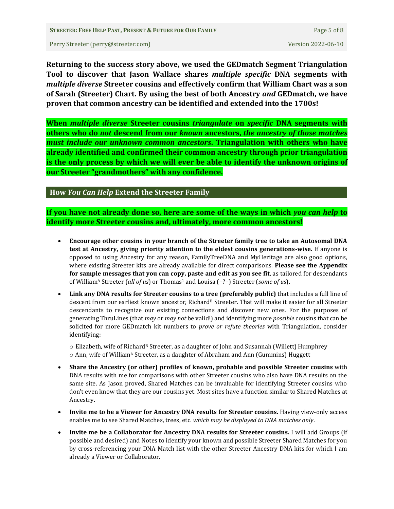**Returning to the success story above, we used the GEDmatch Segment Triangulation Tool to discover that Jason Wallace shares** *multiple specific* **DNA segments with**  *multiple diverse* **Streeter cousins and effectively confirm that William Chart was a son of Sarah (Streeter) Chart. By using the best of both Ancestry** *and* **GEDmatch, we have proven that common ancestry can be identified and extended into the 1700s!**

**When** *multiple diverse* **Streeter cousins** *triangulate* **on** *specific* **DNA segments with others who do** *not* **descend from our** *known* **ancestors,** *the ancestry of those matches must include our unknown common ancestors***. Triangulation with others who have already identified and confirmed their common ancestry through prior triangulation is the only process by which we will ever be able to identify the unknown origins of our Streeter "grandmothers" with any confidence.**

**How** *You Can Help* **Extend the Streeter Family**

### **If you have not already done so, here are some of the ways in which** *you can help* **to identify more Streeter cousins and, ultimately, more common ancestors!**

- **Encourage other cousins in your branch of the Streeter family tree to take an Autosomal DNA test at Ancestry, giving priority attention to the eldest cousins generations-wise.** If anyone is opposed to using Ancestry for any reason, FamilyTreeDNA and MyHeritage are also good options, where existing Streeter kits are already available for direct comparisons. **Please see the Appendix for sample messages that you can copy, paste and edit as you see fit**, as tailored for descendants of William<sup>A</sup> Streeter (*all of us*) or Thomas<sup>1</sup> and Louisa (–?–) Streeter (*some of us*).
- **Link any DNA results for Streeter cousins to a tree (preferably public)** that includes a full line of descent from our earliest known ancestor, Richard<sup>B</sup> Streeter. That will make it easier for all Streeter descendants to recognize our existing connections and discover new ones. For the purposes of generating ThruLines (that *may* or *may not* be valid!) and identifying more *possible* cousins that can be solicited for more GEDmatch kit numbers to *prove or refute theories* with Triangulation, consider identifying:

 $\circ$  Elizabeth, wife of Richard<sup>B</sup> Streeter, as a daughter of John and Susannah (Willett) Humphrey  $\circ$  Ann, wife of William<sup>A</sup> Streeter, as a daughter of Abraham and Ann (Gummins) Huggett

- **Share the Ancestry (or other) profiles of known, probable and possible Streeter cousins** with DNA results with me for comparisons with other Streeter cousins who also have DNA results on the same site. As Jason proved, Shared Matches can be invaluable for identifying Streeter cousins who don't even know that they are our cousins yet. Most sites have a function similar to Shared Matches at Ancestry.
- **Invite me to be a Viewer for Ancestry DNA results for Streeter cousins.** Having view-only access enables me to see Shared Matches, trees, etc. *which may be displayed to DNA matches only*.
- **Invite me be a Collaborator for Ancestry DNA results for Streeter cousins.** I will add Groups (if possible and desired) and Notes to identify your known and possible Streeter Shared Matches for you by cross-referencing your DNA Match list with the other Streeter Ancestry DNA kits for which I am already a Viewer or Collaborator.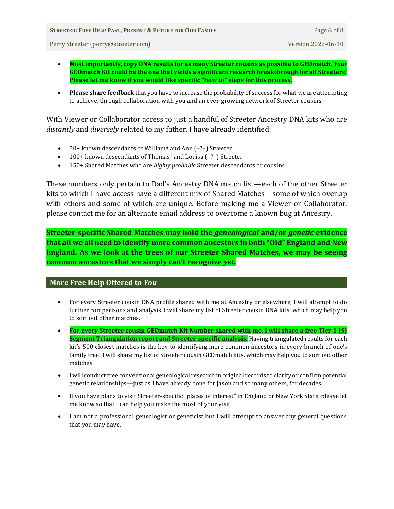- **Most importantly, copy DNA results for as many Streeter cousins as possible to GEDmatch.** *Your* **GEDmatch Kit could be the one that yields a significant research breakthrough for all Streeters! Please let me know if you would like specific "how to" steps for this process.**
- **Please share feedback** that you have to increase the probability of success for what we are attempting to achieve, through collaboration with you and an ever-growing network of Streeter cousins.

With Viewer or Collaborator access to just a handful of Streeter Ancestry DNA kits who are *distantly* and *diversely* related to my father, I have already identified:

- $50+$  known descendants of William<sup>A</sup> and Ann  $(-?-)$  Streeter
- 100+ known descendants of Thomas<sup>1</sup> and Louisa (-?-) Streeter
- 150+ Shared Matches who are *highly probable* Streeter descendants or cousins

These numbers only pertain to Dad's Ancestry DNA match list—each of the other Streeter kits to which I have access have a different mix of Shared Matches—some of which overlap with others and some of which are unique. Before making me a Viewer or Collaborator, please contact me for an alternate email address to overcome a known bug at Ancestry.

**Streeter-specific Shared Matches may hold the** *genealogical* **and/or** *genetic* **evidence that all we all need to identify more common ancestors in both "Old" England and New England. As we look at the trees of our Streeter Shared Matches, we may be seeing common ancestors that we simply can't recognize** *yet***.**

### **More Free Help Offered to** *You*

- For every Streeter cousin DNA profile shared with me at Ancestry or elsewhere, I will attempt to do further comparisons and analysis. I will share my list of Streeter cousin DNA kits, which may help you to sort out other matches.
- **For every Streeter cousin GEDmatch Kit Number shared with me, I will share a free Tier 1 (\$) Segment Triangulation report and Streeter-specific analysis.** Having triangulated results for each kit's 500 closest matches is the key to identifying more common ancestors in every branch of one's family tree! I will share my list of Streeter cousin GEDmatch kits, which may help you to sort out other matches.
- I will conduct free conventional genealogical research in original records to clarify or confirm potential genetic relationships—just as I have already done for Jason and so many others, for decades.
- If you have plans to visit Streeter-specific "places of interest" in England or New York State, please let me know so that I can help you make the most of your visit.
- I am not a professional genealogist or geneticist but I will attempt to answer any general questions that you may have.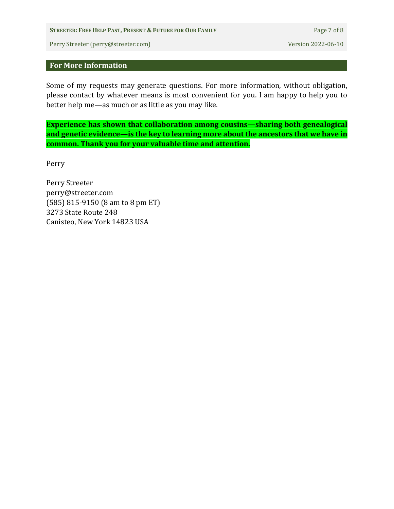#### **STREETER: FREE HELP PAST, PRESENT & FUTURE FOR OUR FAMILY** Page 7 of 8

Perry Streeter (perry@streeter.com) Version 2022-06-10

### **For More Information**

Some of my requests may generate questions. For more information, without obligation, please contact by whatever means is most convenient for you. I am happy to help you to better help me—as much or as little as you may like.

**Experience has shown that collaboration among cousins—sharing both genealogical and genetic evidence—is the key to learning more about the ancestors that we have in common. Thank you for your valuable time and attention.**

Perry

Perry Streeter perry@streeter.com (585) 815-9150 (8 am to 8 pm ET) 3273 State Route 248 Canisteo, New York 14823 USA